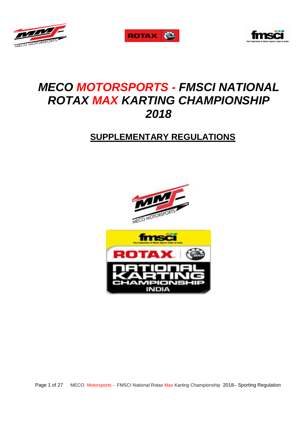





# **MECO MOTORSPORTS - FMSCI NATIONAL ROTAX MAX KARTING CHAMPIONSHIP 2018**

# **SUPPLEMENTARY REGULATIONS**



Page 1 of 27 MECO Motorsports - FMSCI National Rotax Max Karting Championship 2018– Sporting Regulation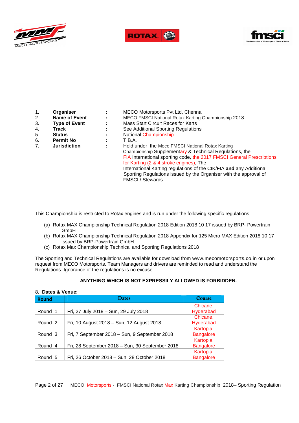





| 1. | Organiser            |                | MECO Motorsports Pvt Ltd, Chennai                                     |
|----|----------------------|----------------|-----------------------------------------------------------------------|
| 2. | <b>Name of Event</b> |                | MECO FMSCI National Rotax Karting Championship 2018                   |
| 3. | <b>Type of Event</b> | $\blacksquare$ | Mass Start Circuit Races for Karts                                    |
| 4. | Track                |                | See Additional Sporting Regulations                                   |
| 5. | <b>Status</b>        |                | National Championship                                                 |
| 6. | <b>Permit No</b>     |                | T.B.A.                                                                |
| 7. | <b>Jurisdiction</b>  |                | Held under the Meco FMSCI National Rotax Karting                      |
|    |                      |                | Championship Supplementary & Technical Regulations, the               |
|    |                      |                | FIA International sporting code, the 2017 FMSCI General Prescriptions |
|    |                      |                | for Karting (2 & 4 stroke engines), The                               |
|    |                      |                | International Karting regulations of the CIK/FIA and any Additional   |
|    |                      |                | Sporting Regulations issued by the Organiser with the approval of     |
|    |                      |                | <b>FMSCI</b> / Stewards                                               |

This Championship is restricted to Rotax engines and is run under the following specific regulations:

- (a) Rotax MAX Championship Technical Regulation 2018 Edition 2018 10 17 issued by BRP- Powertrain GmbH
- (b) Rotax MAX Championship Technical Regulation 2018 Appendix for 125 Micro MAX Edition 2018 10 17 issued by BRP-Powertrain GmbH.
- (c) Rotax Max Championship Technical and Sporting Regulations 2018

The Sporting and Technical Regulations are available for download from www.mecomotorsports.co.in or upon request from MECO Motorsports. Team Managers and drivers are reminded to read and understand the Regulations. Ignorance of the regulations is no excuse.

# **ANYTHING WHICH IS NOT EXPRESSILY ALLOWED IS FORBIDDEN.**

#### 8**. Dates & Venue:**

| <b>Round</b> | <b>Dates</b>                                    | Course           |
|--------------|-------------------------------------------------|------------------|
|              |                                                 | Chicane,         |
| Round 1      | Fri, 27 July 2018 - Sun, 29 July 2018           | Hyderabad        |
|              |                                                 | Chicane,         |
| Round 2      | Fri, 10 August 2018 - Sun, 12 August 2018       | Hyderabad        |
|              |                                                 | Kartopia,        |
| Round 3      | Fri, 7 September 2018 – Sun, 9 September 2018   | <b>Bangalore</b> |
|              |                                                 | Kartopia,        |
| Round 4      | Fri, 28 September 2018 - Sun, 30 September 2018 | <b>Bangalore</b> |
|              |                                                 | Kartopia,        |
| Round 5      | Fri, 26 October 2018 - Sun, 28 October 2018     | <b>Bangalore</b> |

Page 2 of 27 MECO Motorsports - FMSCI National Rotax Max Karting Championship 2018– Sporting Regulation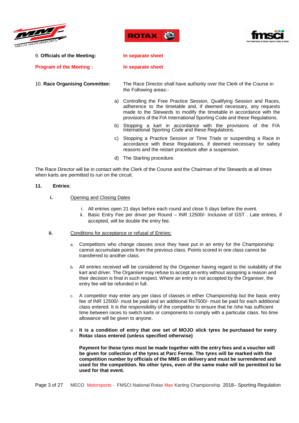





9. **Officials of the Meeting: In separate sheet** 

**Program of the Meeting : In separate sheet**

- 
- 10. **Race Organising Committee:** The Race Director shall have authority over the Clerk of the Course in the Following areas:
	- a) Controlling the Free Practice Session, Qualifying Session and Races, adherence to the timetable and, if deemed necessary, any requests made to the Stewards to modify the timetable in accordance with the provisions of the FIA International Sporting Code and these Regulations.
	- b) Stopping a kart in accordance with the provisions of the FIA International Sporting Code and these Regulations.
	- c) Stopping a Practice Session or Time Trials or suspending a Race in accordance with these Regulations, if deemed necessary for safety reasons and the restart procedure after a suspension.
	- d) The Starting procedure.

The Race Director will be in contact with the Clerk of the Course and the Chairman of the Stewards at all times when karts are permitted to run on the circuit.

#### **11. Entries**:

- **i.** Opening and Closing Dates
	- i. All entries open 21 days before each round and close 5 days before the event.
	- ii. Basic Entry Fee per driver per Round INR 12500/- Inclusive of GST . Late entries, if accepted, will be double the entry fee.
- **ii.** Conditions for acceptance or refusal of Entries:
	- a. Competitors who change classes once they have put in an entry for the Championship cannot accumulate points from the previous class. Points scored in one class cannot be transferred to another class.
	- b. All entries received will be considered by the Organiser having regard to the suitability of the kart and driver. The Organiser may refuse to accept an entry without assigning a reason and their decision is final in such respect. Where an entry is not accepted by the Organiser, the entry fee will be refunded in full.
	- c. A competitor may enter any per class of classes in either Championship but the basic entry fee of INR 12500/- must be paid and an additional Rs7500/- must be paid for each additional class entered. It is the responsibility of the competitor to ensure that he /she has sufficient time between races to switch karts or components to comply with a particular class. No time allowance will be given to anyone.
	- d. **It is a condition of entry that one set of MOJO slick tyres be purchased for every Rotax class entered (unless specified otherwise)**

**Payment for these tyres must be made together with the entry fees and a voucher will be given for collection of the tyres at Parc Ferme. The tyres will be marked with the competition number by officials of the MMS on delivery and must be surrendered and used for the competition. No other tyres, even of the same make will be permitted to be used for that event.**

Page 3 of 27 MECO Motorsports - FMSCI National Rotax Max Karting Championship 2018– Sporting Regulation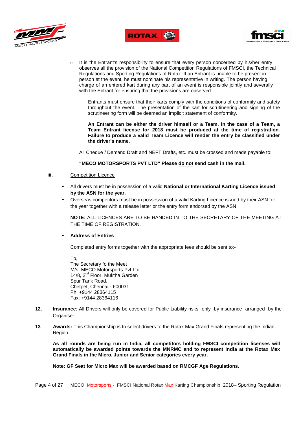





e. It is the Entrant's responsibility to ensure that every person concerned by his/her entry observes all the provision of the National Competition Regulations of FMSCI, the Technical Regulations and Sporting Regulations of Rotax. If an Entrant is unable to be present in person at the event, he must nominate his representative in writing. The person having charge of an entered kart during any part of an event is responsible jointly and severally with the Entrant for ensuring that the provisions are observed.

Entrants must ensure that their karts comply with the conditions of conformity and safety throughout the event. The presentation of the kart for scrutineering and signing of the scrutineering form will be deemed an implicit statement of conformity.

**An Entrant can be either the driver himself or a Team. In the case of a Team, a Team Entrant license for 2018 must be produced at the time of registration. Failure to produce a valid Team Licence will render the entry be classified under the driver's name.** 

All Cheque / Demand Draft and NEFT Drafts, etc. must be crossed and made payable to:

#### **"MECO MOTORSPORTS PVT LTD" Please do not send cash in the mail.**

### **iii.** Competition Licence

- All drivers must be in possession of a valid **National or International Karting Licence issued by the ASN for the year.**
- Overseas competitors must be in possession of a valid Karting Licence issued by their ASN for the year together with a release letter or the entry form endorsed by the ASN.

**NOTE:** ALL LICENCES ARE TO BE HANDED IN TO THE SECRETARY OF THE MEETING AT THE TIME OF REGISTRATION.

#### • **Address of Entries**

Completed entry forms together with the appropriate fees should be sent to:-

To, The Secretary fo the Meet M/s. MECO Motorsports Pvt Ltd 14/8, 2<sup>nd</sup> Floor, Muktha Garden Spur Tank Road, Chetpet, Chennai - 600031 Ph: +9144 28364115 Fax: +9144 28364116

- **12. Insurance**: All Drivers will only be covered for Public Liability risks only by insurance arranged by the Organiser.
- **13**. **Awards:** This Championship is to select drivers to the Rotax Max Grand Finals representing the Indian Region.

**As all rounds are being run in India, all competitors holding FMSCI competition licenses will automatically be awarded points towards the MNRMC and to represent India at the Rotax Max Grand Finals in the Micro, Junior and Senior categories every year.** 

**Note: GF Seat for Micro Max will be awarded based on RMCGF Age Regulations.**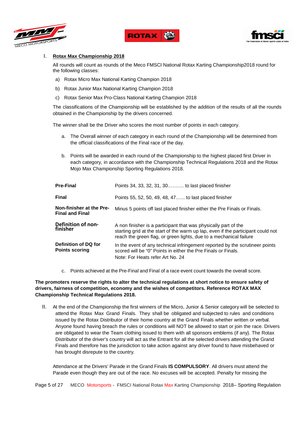





# I. **Rotax Max Championship 2018**

All rounds will count as rounds of the Meco FMSCI National Rotax Karting Championship2018 round for the following classes:

- a) Rotax Micro Max National Karting Champion 2018
- b) Rotax Junior Max National Karting Champion 2018
- c) Rotax Senior Max Pro-Class National Karting Champion 2018

The classifications of the Championship will be established by the addition of the results of all the rounds obtained in the Championship by the drivers concerned.

The winner shall be the Driver who scores the most number of points in each category.

- a. The Overall winner of each category in each round of the Championship will be determined from the official classifications of the Final race of the day.
- b. Points will be awarded in each round of the Championship to the highest placed first Driver in each category, in accordance with the Championship Technical Regulations 2018 and the Rotax Mojo Max Championship Sporting Regulations 2018.

| <b>Pre-Final</b>                                   | Points 34, 33, 32, 31, 30 to last placed finisher                                                                                                                                                                         |
|----------------------------------------------------|---------------------------------------------------------------------------------------------------------------------------------------------------------------------------------------------------------------------------|
| <b>Final</b>                                       | Points 55, 52, 50, 49, 48, 47 to last placed finisher                                                                                                                                                                     |
| Non-finisher at the Pre-<br><b>Final and Final</b> | Minus 5 points off last placed finisher either the Pre Finals or Finals.                                                                                                                                                  |
| <b>Definition of non-</b><br>finisher              | A non finisher is a participant that was physically part of the<br>starting grid at the start of the warm up lap, even if the participant could not<br>reach the green flag, or green lights, due to a mechanical failure |
| Definition of DQ for<br><b>Points scoring</b>      | In the event of any technical infringement reported by the scrutineer points<br>scored will be "0" Points in either the Pre Finals or Finals.<br>Note: For Heats refer Art No. 24                                         |

c. Points achieved at the Pre-Final and Final of a race event count towards the overall score.

## **The promoters reserve the rights to alter the technical regulations at short notice to ensure safety of drivers, fairness of competition, economy and the wishes of competitors. Reference ROTAX MAX Championship Technical Regulations 2018.**

II. At the end of the Championship the first winners of the Micro, Junior & Senior category will be selected to attend the Rotax Max Grand Finals. They shall be obligated and subjected to rules and conditions issued by the Rotax Distributor of their home country at the Grand Finals whether written or verbal. Anyone found having breach the rules or conditions will NOT be allowed to start or join the race. Drivers are obligated to wear the Team clothing issued to them with all sponsors emblems (if any). The Rotax Distributor of the driver's country will act as the Entrant for all the selected drivers attending the Grand Finals and therefore has the jurisdiction to take action against any driver found to have misbehaved or has brought disrepute to the country.

Attendance at the Drivers' Parade in the Grand Finals **IS COMPULSORY**. All drivers must attend the Parade even though they are out of the race. No excuses will be accepted. Penalty for missing the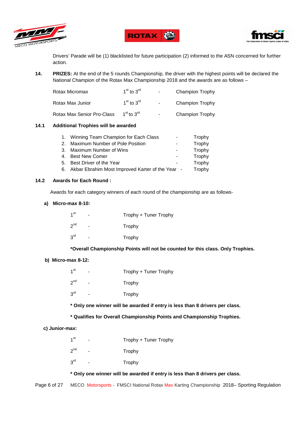





Drivers' Parade will be (1) blacklisted for future participation (2) informed to the ASN concerned for further action.

**14. PRIZES:** At the end of the 5 rounds Championship, the driver with the highest points will be declared the National Champion of the Rotax Max Championship 2018 and the awards are as follows –

| Rotax Micromax             | $1st$ to $3rd$ | $\blacksquare$           | <b>Champion Trophy</b> |
|----------------------------|----------------|--------------------------|------------------------|
| Rotax Max Junior           | $1st$ to $3rd$ | $\overline{\phantom{a}}$ | Champion Trophy        |
| Rotax Max Senior Pro-Class | $1st$ to $3rd$ | $\blacksquare$           | <b>Champion Trophy</b> |

#### **14.1 Additional Trophies will be awarded**

| 1. Winning Team Champion for Each Class             | Trophy |
|-----------------------------------------------------|--------|
| 2. Maximum Number of Pole Position                  | Trophy |
| 3. Maximum Number of Wins                           | Trophy |
| 4. Best New Comer                                   | Trophy |
| 5. Best Driver of the Year                          | Trophy |
| 6. Akbar Ebrahim Most Improved Karter of the Year - | Trophy |

#### **14.2 Awards for Each Round :**

Awards for each category winners of each round of the championship are as follows-

#### **a) Micro-max 8-10:**

| 1 <sup>st</sup> | -  | Trophy + Tuner Trophy |
|-----------------|----|-----------------------|
| 2 <sup>nd</sup> | ۰. | Trophy                |
| 3 <sup>rd</sup> | -  | Trophy                |

# **\*Overall Championship Points will not be counted for this class. Only Trophies.**

# **b) Micro-max 8-12:**

| 1 <sup>st</sup>   | - | Trophy + Tuner Trophy |
|-------------------|---|-----------------------|
| $2^{nd}$          |   | Trophy                |
| $3^{\mathsf{rd}}$ |   | Trophy                |

**\* Only one winner will be awarded if entry is less than 8 drivers per class.** 

# **\* Qualifies for Overall Championship Points and Championship Trophies.**

#### **c) Junior-max:**

| 1 <sup>st</sup>   | - | Trophy + Tuner Trophy |
|-------------------|---|-----------------------|
| $2^{\mathsf{nd}}$ |   | Trophy                |
| $3^{\mathsf{rd}}$ |   | Trophy                |

**\* Only one winner will be awarded if entry is less than 8 drivers per class.**

Page 6 of 27 MECO Motorsports - FMSCI National Rotax Max Karting Championship 2018– Sporting Regulation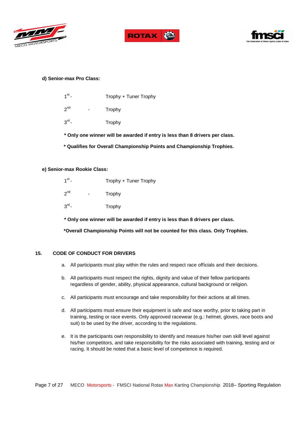





# **d) Senior-max Pro Class:**

| $1st$ – | Trophy + Tuner Trophy |  |
|---------|-----------------------|--|
|         |                       |  |

- $2<sub>nd</sub>$ **Trophy**
- $3<sup>rd</sup>$  -**Trophy**
- **\* Only one winner will be awarded if entry is less than 8 drivers per class.**
- **\* Qualifies for Overall Championship Points and Championship Trophies.**

#### **e) Senior-max Rookie Class:**

| $1st$ –           | Trophy + Tuner Trophy |
|-------------------|-----------------------|
| $2^{nd}$          | Trophy                |
| $3^{\text{rd}}$ - | Trophy                |

**\* Only one winner will be awarded if entry is less than 8 drivers per class.** 

 **\*Overall Championship Points will not be counted for this class. Only Trophies.** 

### **15. CODE OF CONDUCT FOR DRIVERS**

- a. All participants must play within the rules and respect race officials and their decisions.
- b. All participants must respect the rights, dignity and value of their fellow participants regardless of gender, ability, physical appearance, cultural background or religion.
- c. All participants must encourage and take responsibility for their actions at all times.
- d. All participants must ensure their equipment is safe and race worthy, prior to taking part in training, testing or race events. Only approved racewear (e.g.: helmet, gloves, race boots and suit) to be used by the driver, according to the regulations.
- e. It is the participants own responsibility to identify and measure his/her own skill level against his/her competitors, and take responsibility for the risks associated with training, testing and or racing. It should be noted that a basic level of competence is required.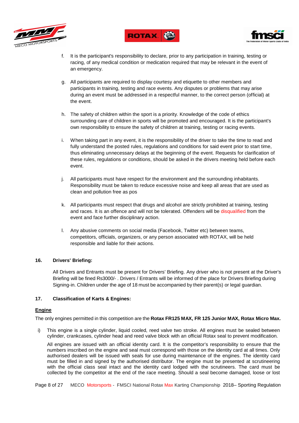





- f. It is the participant's responsibility to declare, prior to any participation in training, testing or racing, of any medical condition or medication required that may be relevant in the event of an emergency.
- g. All participants are required to display courtesy and etiquette to other members and participants in training, testing and race events. Any disputes or problems that may arise during an event must be addressed in a respectful manner, to the correct person (official) at the event.
- h. The safety of children within the sport is a priority. Knowledge of the code of ethics surrounding care of children in sports will be promoted and encouraged. It is the participant's own responsibility to ensure the safety of children at training, testing or racing events.
- i. When taking part in any event, it is the responsibility of the driver to take the time to read and fully understand the posted rules, regulations and conditions for said event prior to start time, thus eliminating unnecessary delays at the beginning of the event. Requests for clarification of these rules, regulations or conditions, should be asked in the drivers meeting held before each event.
- j. All participants must have respect for the environment and the surrounding inhabitants. Responsibility must be taken to reduce excessive noise and keep all areas that are used as clean and pollution free as pos
- k. All participants must respect that drugs and alcohol are strictly prohibited at training, testing and races. It is an offence and will not be tolerated. Offenders will be disqualified from the event and face further disciplinary action.
- l. Any abusive comments on social media (Facebook, Twitter etc) between teams, competitors, officials, organizers, or any person associated with ROTAX, will be held responsible and liable for their actions.

# **16. Drivers' Briefing:**

All Drivers and Entrants must be present for Drivers' Briefing. Any driver who is not present at the Driver's Briefing will be fined Rs3000/- . Drivers / Entrants will be informed of the place for Drivers Briefing during Signing-in. Children under the age of 18 must be accompanied by their parent(s) or legal guardian.

# **17. Classification of Karts & Engines:**

# **Engine**

The only engines permitted in this competition are the **Rotax FR125 MAX, FR 125 Junior MAX, Rotax Micro Max.**

i) This engine is a single cylinder, liquid cooled, reed valve two stroke. All engines must be sealed between cylinder, crankcases, cylinder head and reed valve block with an official Rotax seal to prevent modification.

All engines are issued with an official identity card. It is the competitor's responsibility to ensure that the numbers inscribed on the engine and seal must correspond with those on the identity card at all times. Only authorised dealers will be issued with seals for use during maintenance of the engines. The identity card must be filled in and signed by the authorised distributor. The engine must be presented at scrutineering with the official class seal intact and the identity card lodged with the scrutineers. The card must be collected by the competitor at the end of the race meeting. Should a seal become damaged, loose or lost

Page 8 of 27 MECO Motorsports - FMSCI National Rotax Max Karting Championship 2018– Sporting Regulation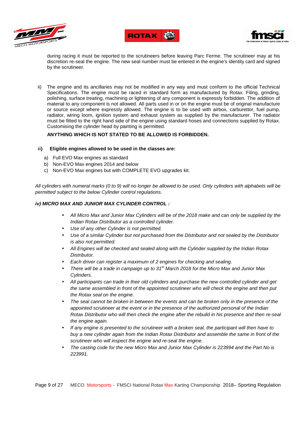





during racing it must be reported to the scrutineers before leaving Parc Ferme. The scrutineer may at his discretion re-seal the engine. The new seal number must be entered in the engine's identity card and signed by the scrutineer.

ii) The engine and its ancillaries may not be modified in any way and must conform to the official Technical Specifications. The engine must be raced in standard form as manufactured by Rotax. Filing, grinding, polishing, surface treating, machining or lightening of any component is expressly forbidden. The addition of material to any component is not allowed. All parts used in or on the engine must be of original manufacture or source except where expressly allowed. The engine is to be used with airbox, carburettor, fuel pump, radiator, wiring loom, ignition system and exhaust system as supplied by the manufacturer. The radiator must be fitted to the right hand side of the engine using standard hoses and connections supplied by Rotax. Customising the cylinder head by painting is permitted.

# **ANYTHING WHICH IS NOT STATED TO BE ALLOWED IS FORBIDDEN.**

#### iii**) Eligible engines allowed to be used in the classes are:**

- a) Full EVO Max engines as standard
- b) Non-EVO Max engines 2014 and below
- c) Non-EVO Max engines but with COMPLETE EVO upgrades kit.

All cylinders with numeral marks (0 to 9) will no longer be allowed to be used. Only cylinders with alphabets will be permitted subject to the below Cylinder control regulations.

#### **iv) MICRO MAX AND JUNIOR MAX CYLINDER CONTROL :**

- All Micro Max and Junior Max Cylinders will be of the 2018 make and can only be supplied by the Indian Rotax Distributor as a controlled cylinder.
- Use of any other Cylinder is not permitted.
- Use of a similar Cylinder but not purchased from the Distributor and not sealed by the Distributor is also not permitted.
- All Engines will be checked and sealed along with the Cylinder supplied by the Indian Rotax Distributor.
- Each driver can register a maximum of 2 engines for checking and sealing.
- There will be a trade in campaign up to  $31<sup>st</sup>$  March 2018 for the Micro Max and Junior Max Cylinders.
- All participants can trade in their old cylinders and purchase the new controlled cylinder and get the same assembled in front of the appointed scrutineer who will check the engine and then put the Rotax seal on the engine.
- The seal cannot be broken in between the events and can be broken only in the presence of the appointed scrutineer at the event or in the presence of the authorized personal of the Indian Rotax Distributor who will then check the engine after the rebuild in his presence and then re-seal the engine again.
- If any engine is presented to the scrutineer with a broken seal, the participant will then have to buy a new cylinder again from the Indian Rotax Distributor and assemble the same in front of the scrutineer who will inspect the engine and re-seal the engine.
- The casting code for the new Micro Max and Junior Max Cylinder is 223994 and the Part No is 223991.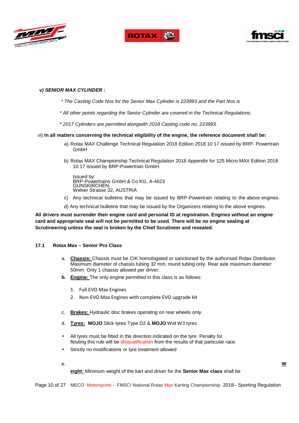





#### **v) SENIOR MAX CYLINDER :**

- \* The Casting Code Nos for the Senior Max Cylinder is 223993 and the Part Nos is
- \* All other points regarding the Senior Cylinder are covered in the Technical Regulations.
- \* 2017 Cylinders are permitted alongwith 2018 Casting code no. 223993.

#### vi) **In all matters concerning the technical eligibility of the engine, the reference document shall be:**

- a) Rotax MAX Challenge Technical Regulation 2018 Edition 2018 10 17 issued by BRP- Powertrain GmbH
- b) Rotax MAX Championship Technical Regulation 2018 Appendix for 125 Micro MAX Edition 2018 10 17 issued by BRP-Powertrain GmbH.

Issued by: BRP-Powertrains GmbH & Co KG, A-4623 GUNSKIRCHEN, Welser Strasse 32, AUSTRIA

- c) Any technical bulletins that may be issued by BRP-Powertrain relating to the above engines.
- d) Any technical bulletins that may be issued by the Organizers relating to the above engines.

# **All drivers must surrender their engine card and personal ID at registration. Engines without an engine card and appropriate seal will not be permitted to be used. There will be no engine sealing at Scrutineering unless the seal is broken by the Chief Scrutineer and resealed.**

#### **17.1 Rotax Max – Senior Pro Class**

- a. **Chassis:** Chassis must be CIK homologated or sanctioned by the authorised Rotax Distributor. Maximum diameter of chassis tubing 32 mm, round tubing only. Rear axle maximum diameter: 50mm. Only 1 chassis allowed per driver.
- **b. Engine:** The only engine permitted in this class is as follows:
	- 1. Full EVO Max Engines
	- 2. Non-EVO Max Engines with complete EVO upgrade kit
- c. **Brakes:** Hydraulic disc brakes operating on rear wheels only.
- d. **Tyres: MOJO** Slick tyres Type D2 & **MOJO** Wet W3 tyres
- All tyres must be fitted in the direction indicated on the tyre. Penalty for flouting this rule will be disqualification from the results of that particular race.
- Strictly no modifications or tyre treatment allowed
- e. **W**

**eight:** Minimum weight of the kart and driver for the **Senior Max class** shall be

Page 10 of 27 MECO Motorsports - FMSCI National Rotax Max Karting Championship 2018– Sporting Regulation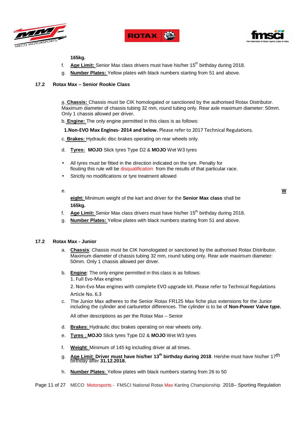





**165kg.**

- f. **Age Limit:** Senior Max class drivers must have his/her 15th birthday during 2018.
- **Number Plates:** Yellow plates with black numbers starting from 51 and above.

#### **17.2 Rotax Max – Senior Rookie Class**

a. **Chassis:** Chassis must be CIK homologated or sanctioned by the authorised Rotax Distributor. Maximum diameter of chassis tubing 32 mm, round tubing only. Rear axle maximum diameter: 50mm. Only 1 chassis allowed per driver.

b. **Engine:** The only engine permitted in this class is as follows:

**1.Non-EVO Max Engines- 2014 and below.** Please refer to 2017 Technical Regulations.

c. **Brakes:** Hydraulic disc brakes operating on rear wheels only.

- d. **Tyres: MOJO** Slick tyres Type D2 & **MOJO** Wet W3 tyres
- All tyres must be fitted in the direction indicated on the tyre. Penalty for flouting this rule will be disqualification from the results of that particular race.
- Strictly no modifications or tyre treatment allowed
- 

e. **W**

**eight:** Minimum weight of the kart and driver for the **Senior Max class** shall be **165kg.**

- f. **Age Limit:** Senior Max class drivers must have his/her 15<sup>th</sup> birthday during 2018.
- g. **Number Plates:** Yellow plates with black numbers starting from 51 and above.

#### **17.2 Rotax Max - Junior**

- a. **Chassis**: Chassis must be CIK homologated or sanctioned by the authorised Rotax Distributor. Maximum diameter of chassis tubing 32 mm, round tubing only. Rear axle maximum diameter: 50mm. Only 1 chassis allowed per driver.
- b. **Engine**: The only engine permitted in this class is as follows: 1. Full Evo-Max engines

2. Non-Evo Max engines with complete EVO upgrade kit. Please refer to Technical Regulations Article No. 6.3

c. The Junior Max adheres to the Senior Rotax FR125 Max fiche plus extensions for the Junior including the cylinder and carburettor differences. The cylinder is to be of **Non-Power Valve type.**

All other descriptions as per the Rotax Max – Senior

- d. **Brakes**: Hydraulic disc brakes operating on rear wheels only.
- e. **Tyres** ; **MOJO** Slick tyres Type D2 & **MOJO** Wet W3 tyres
- f. **Weight**: Minimum of 145 kg including driver at all times.
- g. **Age Limit**: **Driver must have his/her 13th birthday during 2018**. He/she must have his/her 17th birthday after **31.12.2018.**
- h. **Number Plates**: Yellow plates with black numbers starting from 26 to 50

Page 11 of 27 MECO Motorsports - FMSCI National Rotax Max Karting Championship 2018– Sporting Regulation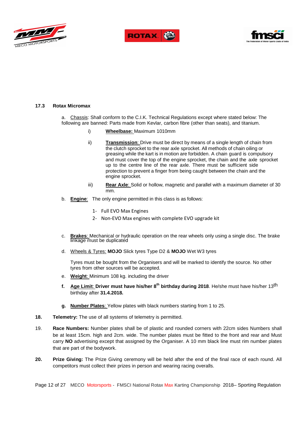





#### **17.3 Rotax Micromax**

a. Chassis: Shall conform to the C.I.K. Technical Regulations except where stated below: The following are banned: Parts made from Kevlar, carbon fibre (other than seats), and titanium.

- i) **Wheelbase:** Maximum 1010mm
	- ii) **Transmission**: Drive must be direct by means of a single length of chain from the clutch sprocket to the rear axle sprocket. All methods of chain oiling or greasing while the kart is in motion are forbidden. A chain guard is compulsory and must cover the top of the engine sprocket, the chain and the axle sprocket up to the centre line of the rear axle. There must be sufficient side protection to prevent a finger from being caught between the chain and the engine sprocket.
- iii) **Rear Axle**: Solid or hollow, magnetic and parallel with a maximum diameter of 30 mm.
- b. **Engine**: The only engine permitted in this class is as follows:
	- 1- Full EVO Max Engines
	- 2- Non-EVO Max engines with complete EVO upgrade kit
- c. **Brakes**: Mechanical or hydraulic operation on the rear wheels only using a single disc. The brake linkage must be duplicated
- d. Wheels & Tyres: **MOJO** Slick tyres Type D2 & **MOJO** Wet W3 tyres

Tyres must be bought from the Organisers and will be marked to identify the source. No other tyres from other sources will be accepted.

- e. **Weight**: Minimum 108 kg. including the driver
- **f. Age Limit**: **Driver must have his/her 8th birthday during 2018**. He/she must have his/her 13th birthday after **31.4.2018.**
- **g. Number Plates**: Yellow plates with black numbers starting from 1 to 25.
- **18. Telemetry:** The use of all systems of telemetry is permitted.
- 19. **Race Numbers:** Number plates shall be of plastic and rounded corners with 22cm sides Numbers shall be at least 15cm. high and 2cm. wide. The number plates must be fitted to the front and rear and Must carry **NO** advertising except that assigned by the Organiser. A 10 mm black line must rim number plates that are part of the bodywork.
- **20. Prize Giving:** The Prize Giving ceremony will be held after the end of the final race of each round. All competitors must collect their prizes in person and wearing racing overalls.

Page 12 of 27 MECO Motorsports - FMSCI National Rotax Max Karting Championship 2018– Sporting Regulation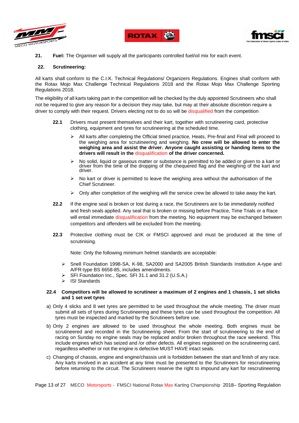





**21. Fuel:** The Organiser will supply all the participants controlled fuel/oil mix for each event.

#### **22. Scrutineering:**

All karts shall conform to the C.I.K. Technical Regulations/ Organizers Regulations. Engines shall conform with the Rotax Mojo Max Challenge Technical Regulations 2018 and the Rotax Mojo Max Challenge Sporting Regulations 2018.

The eligibility of all karts taking part in the competition will be checked by the duly appointed Scrutineers who shall not be required to give any reason for a decision they may take, but may at their absolute discretion require a driver to comply with their request. Drivers electing not to do so will be disqualified from the competition

- **22.1** Drivers must present themselves and their kart, together with scrutineering card, protective clothing, equipment and tyres for scrutineering at the scheduled time.
	- All karts after completing the Official timed practice, Heats, Pre-final and Final will proceed to the weighing area for scrutineering and weighing. **No crew will be allowed to enter the weighing area and assist the driver. Anyone caught assisting or handing items to the drivers will result in the** disqualification **of the driver concerned.**
	- No solid, liquid or gaseous matter or substance is permitted to be added or given to a kart or driver from the time of the dropping of the chequered flag and the weighing of the kart and driver.
	- $\triangleright$  No kart or driver is permitted to leave the weighing area without the authorisation of the Chief Scrutineer.
	- $\triangleright$  Only after completion of the weighing will the service crew be allowed to take away the kart.
- **22.2** If the engine seal is broken or lost during a race, the Scrutineers are to be immediately notified and fresh seals applied. Any seal that is broken or missing before Practice, Time Trials or a Race will entail immediate disqualification from the meeting. No equipment may be exchanged between competitors and offenders will be excluded from the meeting.
- **22.3** Protective clothing must be CIK or FMSCI approved and must be produced at the time of scrutinising.

Note: Only the following minimum helmet standards are acceptable:

- Snell Foundation 1998-SA, K-98, SA2000 and SA2005 British Standards Institution A-type and A/FR-type BS 6658-85, includes amendments.
- SFI Foundation Inc., Spec. SFI 31.1 and 31.2 (U.S.A.)
- $\triangleright$  ISI Standards

#### **22.4 Competitors will be allowed to scrutineer a maximum of 2 engines and 1 chassis, 1 set slicks and 1 set wet tyres**

- a) Only 4 slicks and 8 wet tyres are permitted to be used throughout the whole meeting. The driver must submit all sets of tyres during Scrutineering and these tyres can be used throughout the competition. All tyres must be inspected and marked by the Scrutineers before use.
- b) Only 2 engines are allowed to be used throughout the whole meeting. Both engines must be scrutineered and recorded in the Scrutineering sheet. From the start of scrutineering to the end of racing on Sunday no engine seals may be replaced and/or broken throughout the race weekend. This include engines which has seized and /or other defects. All engines registered on the scrutineering card, regardless whether or not the engine is defective MUST HAVE intact seals.
- c) Changing of chassis, engine and engine/chassis unit is forbidden between the start and finish of any race. Any karts involved in an accident at any time must be presented to the Scrutineers for rescrutineering before returning to the circuit. The Scrutineers reserve the right to impound any kart for rescrutineering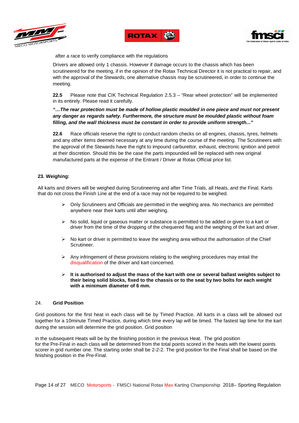





after a race to verify compliance with the regulations

Drivers are allowed only 1 chassis. However if damage occurs to the chassis which has been scrutineered for the meeting, if in the opinion of the Rotax Technical Director it is not practical to repair, and with the approval of the Stewards, one alternative chassis may be scrutineered, in order to continue the meeting.

**22.5** Please note that CIK Technical Regulation 2.5.3 – "Rear wheel protection" will be implemented in its entirely. Please read it carefully.

# **"…The rear protection must be made of hollow plastic moulded in one piece and must not present any danger as regards safety. Furthermore, the structure must be moulded plastic without foam filling, and the wall thickness must be constant in order to provide uniform strength..."**

**22.6** Race officials reserve the right to conduct random checks on all engines, chassis, tyres, helmets and any other items deemed necessary at any time during the course of the meeting. The Scrutineers with the approval of the Stewards have the right to impound carburettor, exhaust, electronic ignition and petrol at their discretion. Should this be the case the parts impounded will be replaced with new original manufactured parts at the expense of the Entrant / Driver at Rotax Official price list.

# **23. Weighing:**

All karts and drivers will be weighed during Scrutineering and after Time Trials, all Heats, and the Final. Karts that do not cross the Finish Line at the end of a race may not be required to be weighed.

- $\triangleright$  Only Scrutineers and Officials are permitted in the weighing area. No mechanics are permitted anywhere near their karts until after weighing.
- $\triangleright$  No solid, liquid or gaseous matter or substance is permitted to be added or given to a kart or driver from the time of the dropping of the chequered flag and the weighing of the kart and driver.
- $\triangleright$  No kart or driver is permitted to leave the weighing area without the authorisation of the Chief Scrutineer.
- $\triangleright$  Any infringement of these provisions relating to the weighing procedures may entail the disqualification of the driver and kart concerned.
- **It is authorised to adjust the mass of the kart with one or several ballast weights subject to their being solid blocks, fixed to the chassis or to the seat by two bolts for each weight with a minimum diameter of 6 mm.**

#### 24. **Grid Position**

Grid positions for the first heat in each class will be by Timed Practice. All karts in a class will be allowed out together for a 10minute Timed Practice, during which time every lap will be timed. The fastest lap time for the kart during the session will determine the grid position. Grid position

in the subsequent Heats will be by the finishing position in the previous Heat. The grid position for the Pre-Final in each class will be determined from the total points scored in the heats with the lowest points scorer in grid number one. The starting order shall be 2-2-2. The grid position for the Final shall be based on the finishing position in the Pre-Final.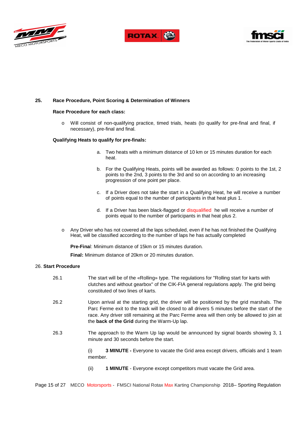





#### **25. Race Procedure, Point Scoring & Determination of Winners**

#### **Race Procedure for each class:**

o Will consist of non-qualifying practice, timed trials, heats (to qualify for pre-final and final, if necessary), pre-final and final.

#### **Qualifying Heats to qualify for pre-finals:**

- a. Two heats with a minimum distance of 10 km or 15 minutes duration for each heat.
- b. For the Qualifying Heats, points will be awarded as follows: 0 points to the 1st, 2 points to the 2nd, 3 points to the 3rd and so on according to an increasing progression of one point per place.
- c. If a Driver does not take the start in a Qualifying Heat, he will receive a number of points equal to the number of participants in that heat plus 1.
- d. If a Driver has been black-flagged or disqualified he will receive a number of points equal to the number of participants in that heat plus 2.
- o Any Driver who has not covered all the laps scheduled, even if he has not finished the Qualifying Heat, will be classified according to the number of laps he has actually completed

**Pre-Fina**l: Minimum distance of 15km or 15 minutes duration.

**Final:** Minimum distance of 20km or 20 minutes duration.

#### 26. **Start Procedure**

26.1 The start will be of the «Rolling» type. The regulations for "Rolling start for karts with clutches and without gearbox" of the CIK-FIA general regulations apply. The grid being constituted of two lines of karts. 26.2 Upon arrival at the starting grid, the driver will be positioned by the grid marshals. The Parc Ferme exit to the track will be closed to all drivers 5 minutes before the start of the race. Any driver still remaining at the Parc Ferme area will then only be allowed to join at the **back of the Grid** during the Warm-Up lap. 26.3 The approach to the Warm Up lap would be announced by signal boards showing 3, 1 minute and 30 seconds before the start.

> (i) **3 MINUTE -** Everyone to vacate the Grid area except drivers, officials and 1 team member.

(ii) **1 MINUTE** - Everyone except competitors must vacate the Grid area.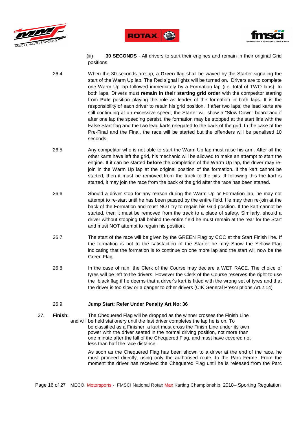





(iii) **30 SECONDS** - All drivers to start their engines and remain in their original Grid positions.

- 26.4 When the 30 seconds are up, a **Green** flag shall be waved by the Starter signaling the start of the Warm Up lap. The Red signal lights will be turned on. Drivers are to complete one Warm Up lap followed immediately by a Formation lap (i.e. total of TWO laps). In both laps, Drivers must **remain in their starting grid order** with the competitor starting from **Pole** position playing the role as leader of the formation in both laps. It is the responsibility of each driver to retain his grid position. If after two laps, the lead karts are still continuing at an excessive speed, the Starter will show a "Slow Down" board and if after one lap the speeding persist, the formation may be stopped at the start line with the False Start flag and the two lead karts relegated to the back of the grid. In the case of the Pre-Final and the Final, the race will be started but the offenders will be penalised 10 seconds.
- 26.5 Any competitor who is not able to start the Warm Up lap must raise his arm. After all the other karts have left the grid, his mechanic will be allowed to make an attempt to start the engine. If it can be started **before** the completion of the Warm Up lap, the driver may rejoin in the Warm Up lap at the original position of the formation. If the kart cannot be started, then it must be removed from the track to the pits. If following this the kart is started, it may join the race from the back of the grid after the race has been started.
- 26.6 Should a driver stop for any reason during the Warm Up or Formation lap, he may not attempt to re-start until he has been passed by the entire field. He may then re-join at the back of the Formation and must NOT try to regain his Grid position. If the kart cannot be started, then it must be removed from the track to a place of safety. Similarly, should a driver without stopping fall behind the entire field he must remain at the rear for the Start and must NOT attempt to regain his position.
- 26.7 The start of the race will be given by the GREEN Flag by COC at the Start Finish line. If the formation is not to the satisfaction of the Starter he may Show the Yellow Flag indicating that the formation is to continue on one more lap and the start will now be the Green Flag.
- 26.8 In the case of rain, the Clerk of the Course may declare a WET RACE. The choice of tyres will be left to the drivers. However the Clerk of the Course reserves the right to use the black flag if he deems that a driver's kart is fitted with the wrong set of tyres and that the driver is too slow or a danger to other drivers (CIK General Prescriptions Art.2.14)

#### 26.9 **Jump Start**: **Refer Under Penalty Art No: 36**

27. **Finish:** The Chequered Flag will be dropped as the winner crosses the Finish Line and will be held stationery until the last driver completes the lap he is on. To be classified as a Finisher, a kart must cross the Finish Line under its own power with the driver seated in the normal driving position, not more than one minute after the fall of the Chequered Flag, and must have covered not less than half the race distance.

> As soon as the Chequered Flag has been shown to a driver at the end of the race, he must proceed directly, using only the authorised route, to the Parc Ferme. From the moment the driver has received the Chequered Flag until he is released from the Parc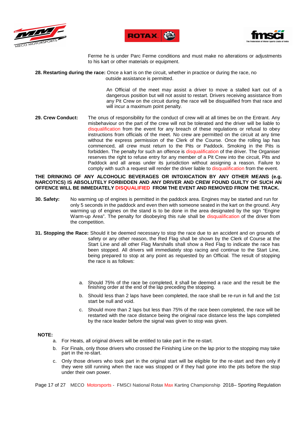





Ferme he is under Parc Ferme conditions and must make no alterations or adjustments to his kart or other materials or equipment.

**28. Restarting during the race:** Once a kart is on the circuit, whether in practice or during the race, no outside assistance is permitted.

> An Official of the meet may assist a driver to move a stalled kart out of a dangerous position but will not assist to restart. Drivers receiving assistance from any Pit Crew on the circuit during the race will be disqualified from that race and will incur a maximum point penalty.

**29. Crew Conduct:** The onus of responsibility for the conduct of crew will at all times be on the Entrant. Any misbehaviour on the part of the crew will not be tolerated and the driver will be liable to disqualification from the event for any breach of these regulations or refusal to obey instructions from officials of the meet. No crew are permitted on the circuit at any time without the express permission of the Clerk of the Course. Once the rolling lap has commenced, all crew must return to the Pits or Paddock. Smoking in the Pits is forbidden. The penalty for such an offence is disqualification of the driver. The Organiser reserves the right to refuse entry for any member of a Pit Crew into the circuit, Pits and Paddock and all areas under its jurisdiction without assigning a reason. Failure to comply with such a request will render the driver liable to disqualification from the event.

**THE DRINKING OF ANY ALCOHOLIC BEVERAGES OR INTOXICATION BY ANY OTHER MEANS (e.g. NARCOTICS) IS ABSOLUTELY FORBIDDEN AND ANY DRIVER AND CREW FOUND GUILTY OF SUCH AN OFFENCE WILL BE IMMEDIATELY DISQUALIFIED FROM THE EVENT AND REMOVED FROM THE TRACK.** 

- **30. Safety:** No warming up of engines is permitted in the paddock area. Engines may be started and run for only 5 seconds in the paddock and even then with someone seated in the kart on the ground. Any warming up of engines on the stand is to be done in the area designated by the sign "Engine Warm-up Area". The penalty for disobeying this rule shall be disqualification of the driver from the competition.
- **31. Stopping the Race:** Should it be deemed necessary to stop the race due to an accident and on grounds of safety or any other reason, the Red Flag shall be shown by the Clerk of Course at the Start Line and all other Flag Marshalls shall show a Red Flag to indicate the race has been stopped. All drivers will immediately stop racing and continue to the Start Line, being prepared to stop at any point as requested by an Official. The result of stopping the race is as follows:
	- a. Should 75% of the race be completed, it shall be deemed a race and the result be the finishing order at the end of the lap preceding the stopping.
	- b. Should less than 2 laps have been completed, the race shall be re-run in full and the 1st start be null and void.
	- c. Should more than 2 laps but less than 75% of the race been completed, the race will be restarted with the race distance being the original race distance less the laps completed by the race leader before the signal was given to stop was given.

#### **NOTE:**

- a. For Heats, all original drivers will be entitled to take part in the re-start.
- b. For Finals, only those drivers who crossed the Finishing Line on the lap prior to the stopping may take part in the re-start.
- c. Only those drivers who took part in the original start will be eligible for the re-start and then only if they were still running when the race was stopped or if they had gone into the pits before the stop under their own power.

Page 17 of 27 MECO Motorsports - FMSCI National Rotax Max Karting Championship 2018– Sporting Regulation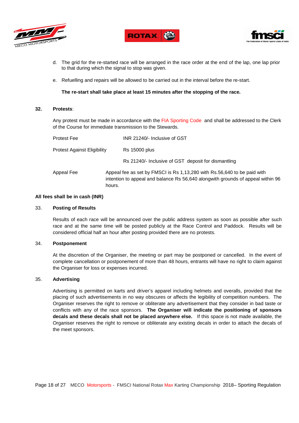





- d. The grid for the re-started race will be arranged in the race order at the end of the lap, one lap prior to that during which the signal to stop was given.
- e. Refuelling and repairs will be allowed to be carried out in the interval before the re-start.

#### **The re-start shall take place at least 15 minutes after the stopping of the race.**

#### **32. Protests**:

Any protest must be made in accordance with the FIA Sporting Code and shall be addressed to the Clerk of the Course for immediate transmission to the Stewards.

| <b>Protest Fee</b>                 |        | INR 21240/- Inclusive of GST                                                                                                                                |
|------------------------------------|--------|-------------------------------------------------------------------------------------------------------------------------------------------------------------|
| <b>Protest Against Eligibility</b> |        | <b>Rs 15000 plus</b>                                                                                                                                        |
|                                    |        | Rs 21240/- Inclusive of GST deposit for dismantling                                                                                                         |
| Appeal Fee                         | hours. | Appeal fee as set by FMSCI is Rs 1,13,280 with Rs.56,640 to be paid with<br>intention to appeal and balance Rs 56,640 alongwith grounds of appeal within 96 |

#### **All fees shall be in cash (INR)**

#### 33. **Posting of Results**

Results of each race will be announced over the public address system as soon as possible after such race and at the same time will be posted publicly at the Race Control and Paddock. Results will be considered official half an hour after posting provided there are no protests.

#### 34. **Postponement**

At the discretion of the Organiser, the meeting or part may be postponed or cancelled. In the event of complete cancellation or postponement of more than 48 hours, entrants will have no right to claim against the Organiser for loss or expenses incurred.

#### 35. **Advertising**

Advertising is permitted on karts and driver's apparel including helmets and overalls, provided that the placing of such advertisements in no way obscures or affects the legibility of competition numbers. The Organiser reserves the right to remove or obliterate any advertisement that they consider in bad taste or conflicts with any of the race sponsors. **The Organiser will indicate the positioning of sponsors decals and these decals shall not be placed anywhere else.** If this space is not made available, the Organiser reserves the right to remove or obliterate any existing decals in order to attach the decals of the meet sponsors.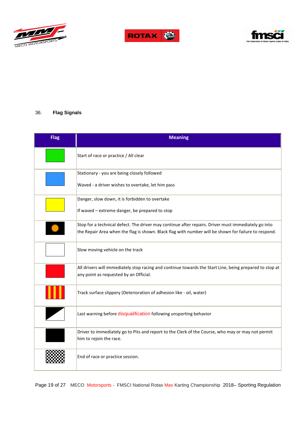





# 36. **Flag Signals**

| <b>Flag</b> | <b>Meaning</b>                                                                                                                                                                                              |
|-------------|-------------------------------------------------------------------------------------------------------------------------------------------------------------------------------------------------------------|
|             | Start of race or practice / All clear                                                                                                                                                                       |
|             | Stationary - you are being closely followed<br>Waved - a driver wishes to overtake, let him pass                                                                                                            |
|             | Danger, slow down, it is forbidden to overtake<br>If waved - extreme danger, be prepared to stop                                                                                                            |
|             | Stop for a technical defect. The driver may continue after repairs. Driver must immediately go into<br>the Repair Area when the flag is shown. Black flag with number will be shown for failure to respond. |
|             | Slow moving vehicle on the track                                                                                                                                                                            |
|             | All drivers will immediately stop racing and continue towards the Start Line, being prepared to stop at<br>any point as requested by an Official.                                                           |
|             | Track surface slippery (Deterioration of adhesion like - oil, water)                                                                                                                                        |
|             | Last warning before disqualification following unsporting behavior                                                                                                                                          |
|             | Driver to immediately go to Pits and report to the Clerk of the Course, who may or may not permit<br>him to rejoin the race.                                                                                |
|             | End of race or practice session.                                                                                                                                                                            |

Page 19 of 27 MECO Motorsports - FMSCI National Rotax Max Karting Championship 2018– Sporting Regulation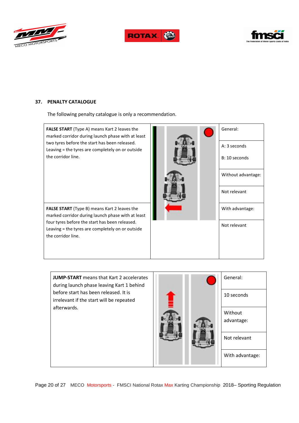





# **37. PENALTY CATALOGUE**

The following penalty catalogue is only a recommendation.



**JUMP-START** means that Kart 2 accelerates during launch phase leaving Kart 1 behind before start has been released. It is irrelevant if the start will be repeated afterwards.



Page 20 of 27 MECO Motorsports - FMSCI National Rotax Max Karting Championship 2018– Sporting Regulation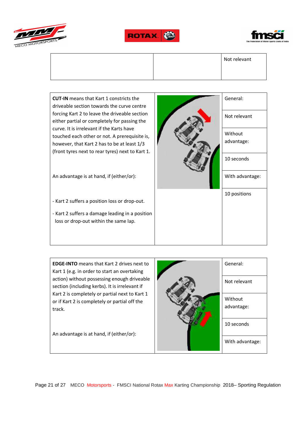







**EDGE-INTO** means that Kart 2 drives next to Kart 1 (e.g. in order to start an overtaking action) without possessing enough driveable section (including kerbs). It is irrelevant if Kart 2 is completely or partial next to Kart 1 or if Kart 2 is completely or partial off the track.

An advantage is at hand, if (either/or):

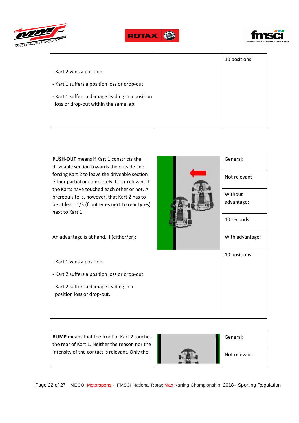





|                                                                                          | 10 positions |
|------------------------------------------------------------------------------------------|--------------|
| - Kart 2 wins a position.                                                                |              |
| - Kart 1 suffers a position loss or drop-out                                             |              |
| - Kart 1 suffers a damage leading in a position<br>loss or drop-out within the same lap. |              |



**BUMP** means that the front of Kart 2 touches the rear of Kart 1. Neither the reason nor the intensity of the contact is relevant. Only the

| General:     |
|--------------|
| Not relevant |

Page 22 of 27 MECO Motorsports - FMSCI National Rotax Max Karting Championship 2018– Sporting Regulation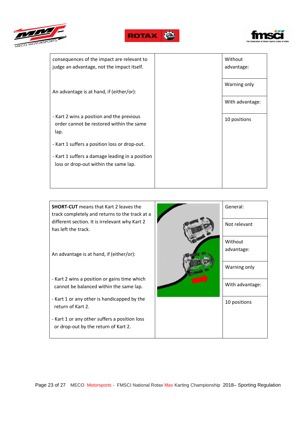





| consequences of the impact are relevant to<br>judge an advantage, not the impact itself.      | Without<br>advantage: |
|-----------------------------------------------------------------------------------------------|-----------------------|
| An advantage is at hand, if (either/or):                                                      | Warning only          |
|                                                                                               | With advantage:       |
| - Kart 2 wins a position and the previous<br>order cannot be restored within the same<br>lap. | 10 positions          |
| - Kart 1 suffers a position loss or drop-out.                                                 |                       |
| - Kart 1 suffers a damage leading in a position<br>loss or drop-out within the same lap.      |                       |
|                                                                                               |                       |

**SHORT-CUT** means that Kart 2 leaves the track completely and returns to the track at a different section. It is irrelevant why Kart 2 has left the track.

An advantage is at hand, if (either/or):

- Kart 2 wins a position or gains time which cannot be balanced within the same lap.
- Kart 1 or any other is handicapped by the return of Kart 2.
- Kart 1 or any other suffers a position loss or drop-out by the return of Kart 2.

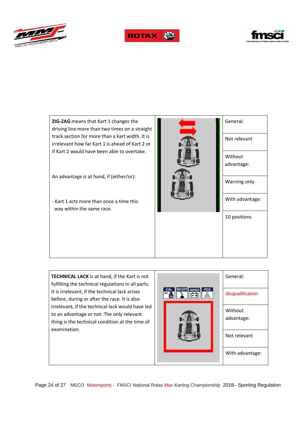





**ZIG-ZAG** means that Kart 1 changes the driving line more than two times on a straight track section for more than a kart width. It is irrelevant how far Kart 1 is ahead of Kart 2 or if Kart 2 would have been able to overtake.

An advantage is at hand, if (either/or):

- Kart 1 acts more than once a time this way within the same race.



General: Not relevant Without advantage: Warning only With advantage: 10 positions

**TECHNICAL LACK** is at hand, if the Kart is not fulfilling the technical regulations in all parts. It is irrelevant, if the technical lack arises before, during or after the race. It is also irrelevant, if the technical lack would have led to an advantage or not. The only relevant thing is the technical condition at the time of examination.

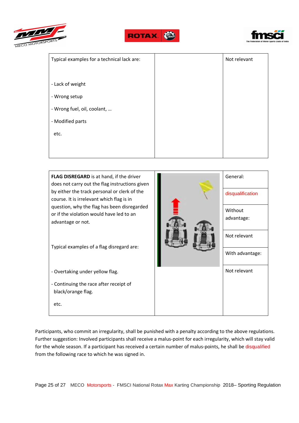





| Typical examples for a technical lack are: | Not relevant |
|--------------------------------------------|--------------|
|                                            |              |
| - Lack of weight                           |              |
| - Wrong setup                              |              |
| - Wrong fuel, oil, coolant,                |              |
| - Modified parts                           |              |
| etc.                                       |              |
|                                            |              |
|                                            |              |

**FLAG DISREGARD** is at hand, if the driver does not carry out the flag instructions given by either the track personal or clerk of the course. It is irrelevant which flag is in question, why the flag has been disregarded or if the violation would have led to an advantage or not.

Typical examples of a flag disregard are:

- Overtaking under yellow flag.

etc.

- Continuing the race after receipt of black/orange flag.



General:

disqualification

Participants, who commit an irregularity, shall be punished with a penalty according to the above regulations. Further suggestion: Involved participants shall receive a malus-point for each irregularity, which will stay valid for the whole season. If a participant has received a certain number of malus-points, he shall be disqualified from the following race to which he was signed in.

Page 25 of 27 MECO Motorsports - FMSCI National Rotax Max Karting Championship 2018– Sporting Regulation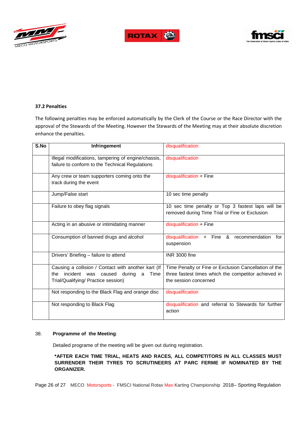





#### **37.2 Penalties**

The following penalties may be enforced automatically by the Clerk of the Course or the Race Director with the approval of the Stewards of the Meeting. However the Stewards of the Meeting may at their absolute discretion enhance the penalties.

| S.No | Infringement                                                                                                                                 | disqualification                                                                                                                       |
|------|----------------------------------------------------------------------------------------------------------------------------------------------|----------------------------------------------------------------------------------------------------------------------------------------|
|      | Illegal modifications, tampering of engine/chassis,<br>failure to conform to the Technical Regulations                                       | disqualification                                                                                                                       |
|      | Any crew or team supporters coming onto the<br>track during the event                                                                        | disqualification + Fine                                                                                                                |
|      | Jump/False start                                                                                                                             | 10 sec time penalty                                                                                                                    |
|      | Failure to obey flag signals                                                                                                                 | 10 sec time penalty or Top 3 fastest laps will be<br>removed during Time Trial or Fine or Exclusion                                    |
|      | Acting in an abusive or intimidating manner                                                                                                  | disqualification + Fine                                                                                                                |
|      | Consumption of banned drugs and alcohol                                                                                                      | disqualification + Fine & recommendation<br>for<br>suspension                                                                          |
|      | Drivers' Briefing - failure to attend                                                                                                        | INR 3000 fine                                                                                                                          |
|      | Causing a collision / Contact with another kart (If<br>the incident was caused<br>during<br>Time<br>a<br>Trial/Qualifying/ Practice session) | Time Penalty or Fine or Exclusion Cancellation of the<br>three fastest times which the competitor achieved in<br>the session concerned |
|      | Not responding to the Black Flag and orange disc                                                                                             | disqualification                                                                                                                       |
|      | Not responding to Black Flag                                                                                                                 | disqualification and referral to Stewards for further<br>action                                                                        |

#### 38. **Programme of the Meeting**:

Detailed programe of the meeting will be given out during registration.

**\*AFTER EACH TIME TRIAL, HEATS AND RACES, ALL COMPETITORS IN ALL CLASSES MUST SURRENDER THEIR TYRES TO SCRUTINEERS AT PARC FERME IF NOMINATED BY THE ORGANIZER.** 

Page 26 of 27 MECO Motorsports - FMSCI National Rotax Max Karting Championship 2018– Sporting Regulation